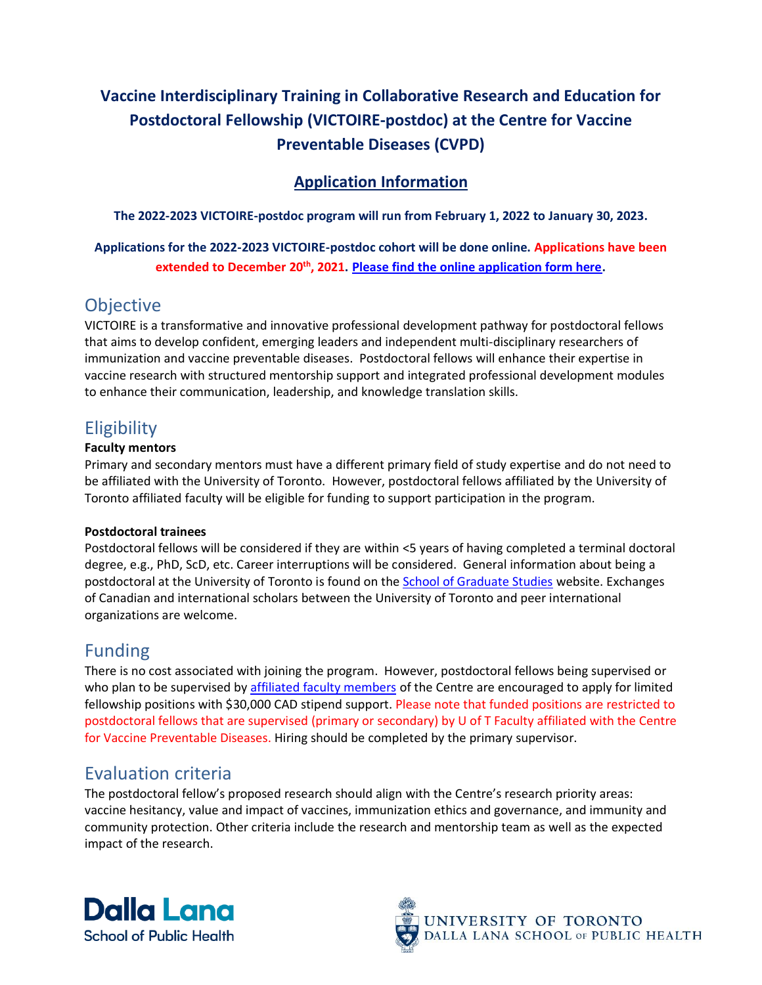# **Vaccine Interdisciplinary Training in Collaborative Research and Education for Postdoctoral Fellowship (VICTOIRE-postdoc) at the Centre for Vaccine Preventable Diseases (CVPD)**

### **Application Information**

**The 2022-2023 VICTOIRE-postdoc program will run from February 1, 2022 to January 30, 2023.** 

**Applications for the 2022-2023 VICTOIRE-postdoc cohort will be done online. Applications have been extended to December 20th, 2021. [Please find the online application form here.](https://redcap.utoronto.ca/surveys/?s=NA39LHFYNMNYL7TF)** 

## **Objective**

VICTOIRE is a transformative and innovative professional development pathway for postdoctoral fellows that aims to develop confident, emerging leaders and independent multi-disciplinary researchers of immunization and vaccine preventable diseases. Postdoctoral fellows will enhance their expertise in vaccine research with structured mentorship support and integrated professional development modules to enhance their communication, leadership, and knowledge translation skills.

# **Eligibility**

#### **Faculty mentors**

Primary and secondary mentors must have a different primary field of study expertise and do not need to be affiliated with the University of Toronto. However, postdoctoral fellows affiliated by the University of Toronto affiliated faculty will be eligible for funding to support participation in the program.

#### **Postdoctoral trainees**

Postdoctoral fellows will be considered if they are within <5 years of having completed a terminal doctoral degree, e.g., PhD, ScD, etc. Career interruptions will be considered. General information about being a postdoctoral at the University of Toronto is found on the [School of Graduate Studies](https://postdoc.sgs.utoronto.ca/interested-in-a-postdoc/#section_0) website. Exchanges of Canadian and international scholars between the University of Toronto and peer international organizations are welcome.

### Funding

There is no cost associated with joining the program. However, postdoctoral fellows being supervised or who plan to be supervised by [affiliated faculty members](https://www.dlsph.utoronto.ca/institutes/our-people/) of the Centre are encouraged to apply for limited fellowship positions with \$30,000 CAD stipend support. Please note that funded positions are restricted to postdoctoral fellows that are supervised (primary or secondary) by U of T Faculty affiliated with the Centre for Vaccine Preventable Diseases. Hiring should be completed by the primary supervisor.

# Evaluation criteria

The postdoctoral fellow's proposed research should align with the Centre's research priority areas: vaccine hesitancy, value and impact of vaccines, immunization ethics and governance, and immunity and community protection. Other criteria include the research and mentorship team as well as the expected impact of the research.



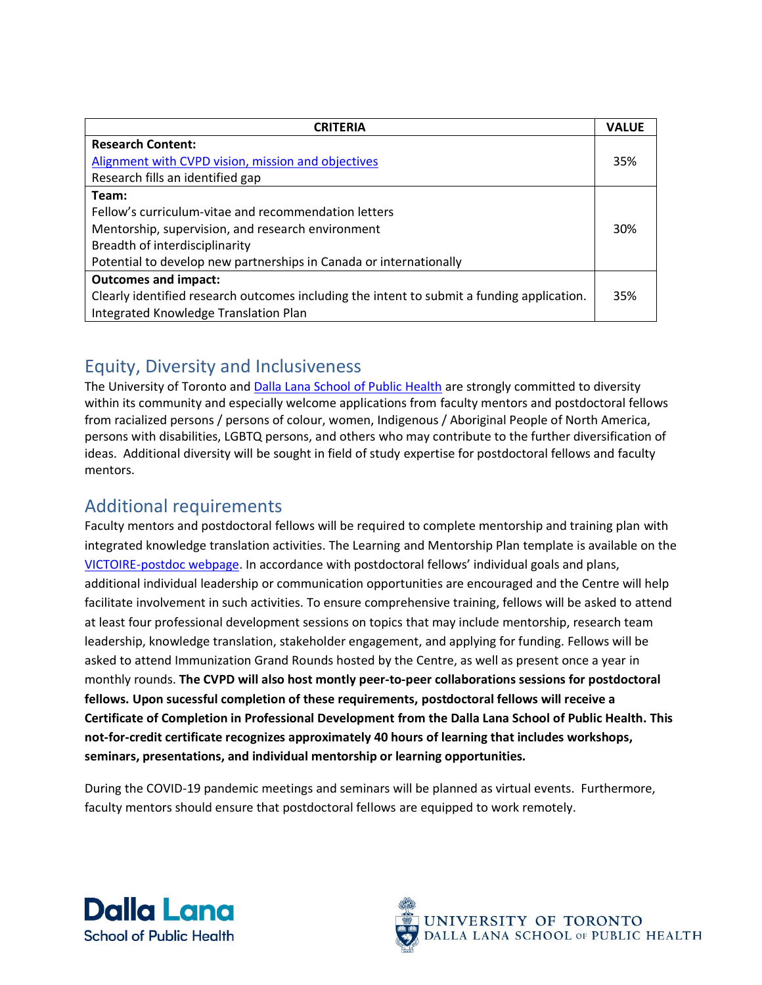| <b>CRITERIA</b>                                                                            | <b>VALUE</b> |
|--------------------------------------------------------------------------------------------|--------------|
| <b>Research Content:</b>                                                                   |              |
| Alignment with CVPD vision, mission and objectives                                         | 35%          |
| Research fills an identified gap                                                           |              |
| Team:                                                                                      |              |
| Fellow's curriculum-vitae and recommendation letters                                       |              |
| Mentorship, supervision, and research environment                                          |              |
| Breadth of interdisciplinarity                                                             |              |
| Potential to develop new partnerships in Canada or internationally                         |              |
| <b>Outcomes and impact:</b>                                                                |              |
| Clearly identified research outcomes including the intent to submit a funding application. | 35%          |
| Integrated Knowledge Translation Plan                                                      |              |

## Equity, Diversity and Inclusiveness

The University of Toronto and [Dalla Lana School of Public Health](http://www.dlsph.utoronto.ca/wp-content/uploads/2015/04/DLSPH-DIVERSITY-STATEMENT_FINAL.pdf) are strongly committed to diversity within its community and especially welcome applications from faculty mentors and postdoctoral fellows from racialized persons / persons of colour, women, Indigenous / Aboriginal People of North America, persons with disabilities, LGBTQ persons, and others who may contribute to the further diversification of ideas. Additional diversity will be sought in field of study expertise for postdoctoral fellows and faculty mentors.

## Additional requirements

Faculty mentors and postdoctoral fellows will be required to complete mentorship and training plan with integrated knowledge translation activities. The Learning and Mentorship Plan template is available on the [VICTOIRE-postdoc webpage.](https://www.dlsph.utoronto.ca/institutes/centre-for-vaccine-preventable-diseases/vaccine-interdisciplinary-training-in-collaborative-research-and-education-for-postdoctoral-fellows-victoire-postdoc/) In accordance with postdoctoral fellows' individual goals and plans, additional individual leadership or communication opportunities are encouraged and the Centre will help facilitate involvement in such activities. To ensure comprehensive training, fellows will be asked to attend at least four professional development sessions on topics that may include mentorship, research team leadership, knowledge translation, stakeholder engagement, and applying for funding. Fellows will be asked to attend Immunization Grand Rounds hosted by the Centre, as well as present once a year in monthly rounds. **The CVPD will also host montly peer-to-peer collaborations sessions for postdoctoral fellows. Upon sucessful completion of these requirements, postdoctoral fellows will receive a Certificate of Completion in Professional Development from the Dalla Lana School of Public Health. This not-for-credit certificate recognizes approximately 40 hours of learning that includes workshops, seminars, presentations, and individual mentorship or learning opportunities.**

During the COVID-19 pandemic meetings and seminars will be planned as virtual events. Furthermore, faculty mentors should ensure that postdoctoral fellows are equipped to work remotely.



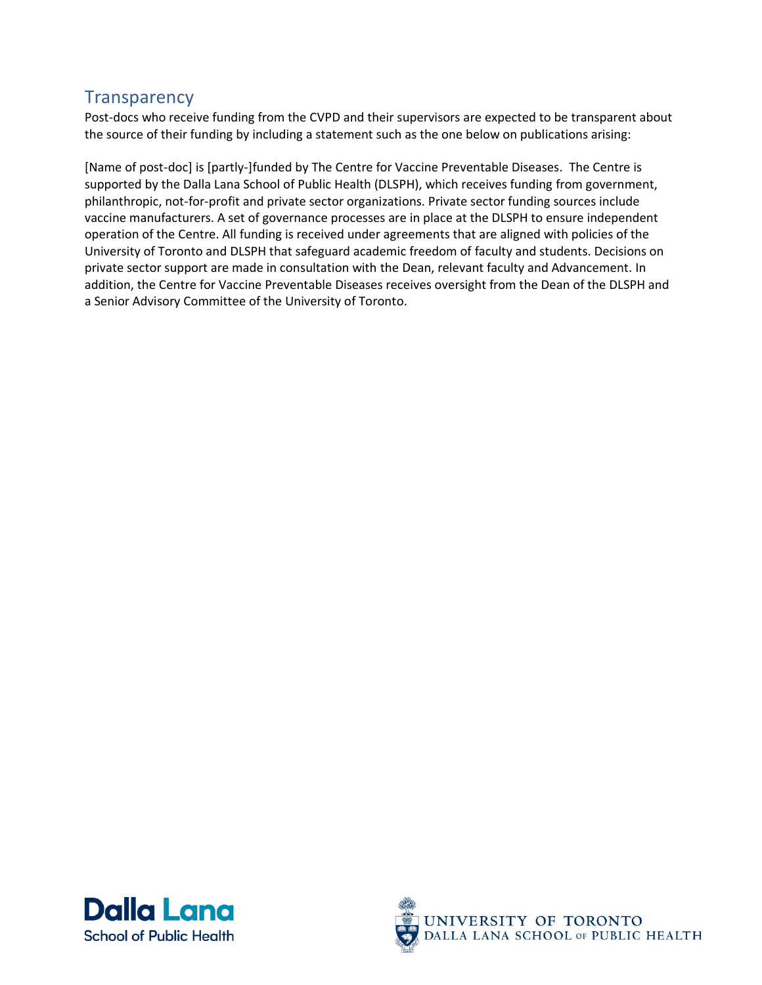## **Transparency**

Post-docs who receive funding from the CVPD and their supervisors are expected to be transparent about the source of their funding by including a statement such as the one below on publications arising:

[Name of post-doc] is [partly-]funded by The Centre for Vaccine Preventable Diseases. The Centre is supported by the Dalla Lana School of Public Health (DLSPH), which receives funding from government, philanthropic, not-for-profit and private sector organizations. Private sector funding sources include vaccine manufacturers. A set of governance processes are in place at the DLSPH to ensure independent operation of the Centre. All funding is received under agreements that are aligned with policies of the University of Toronto and DLSPH that safeguard academic freedom of faculty and students. Decisions on private sector support are made in consultation with the Dean, relevant faculty and Advancement. In addition, the Centre for Vaccine Preventable Diseases receives oversight from the Dean of the DLSPH and a Senior Advisory Committee of the University of Toronto.